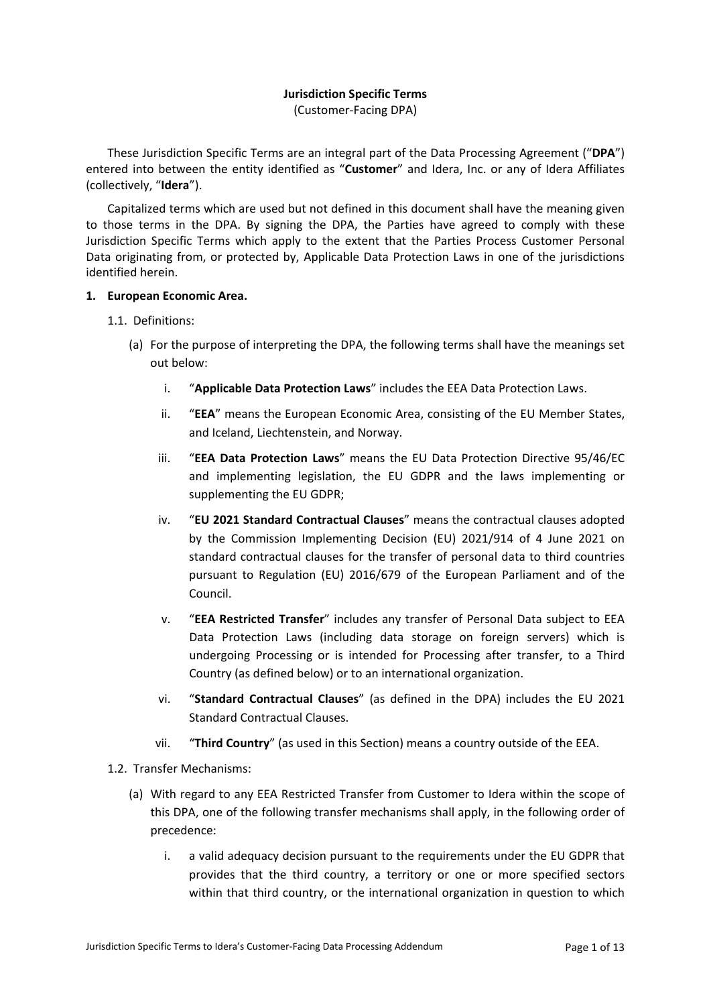# **Jurisdiction Specific Terms**

(Customer-Facing DPA)

These Jurisdiction Specific Terms are an integral part of the Data Processing Agreement ("**DPA**") entered into between the entity identified as "**Customer**" and Idera, Inc. or any of Idera Affiliates (collectively, "**Idera**").

Capitalized terms which are used but not defined in this document shall have the meaning given to those terms in the DPA. By signing the DPA, the Parties have agreed to comply with these Jurisdiction Specific Terms which apply to the extent that the Parties Process Customer Personal Data originating from, or protected by, Applicable Data Protection Laws in one of the jurisdictions identified herein.

### **1. European Economic Area.**

- 1.1. Definitions:
	- (a) For the purpose of interpreting the DPA, the following terms shall have the meanings set out below:
		- i. "**Applicable Data Protection Laws**" includes the EEA Data Protection Laws.
		- ii. "**EEA**" means the European Economic Area, consisting of the EU Member States, and Iceland, Liechtenstein, and Norway.
		- iii. "**EEA Data Protection Laws**" means the EU Data Protection Directive 95/46/EC and implementing legislation, the EU GDPR and the laws implementing or supplementing the EU GDPR;
		- iv. "**EU 2021 Standard Contractual Clauses**" means the contractual clauses adopted by the Commission Implementing Decision (EU) 2021/914 of 4 June 2021 on standard contractual clauses for the transfer of personal data to third countries pursuant to Regulation (EU) 2016/679 of the European Parliament and of the Council.
		- v. "**EEA Restricted Transfer**" includes any transfer of Personal Data subject to EEA Data Protection Laws (including data storage on foreign servers) which is undergoing Processing or is intended for Processing after transfer, to a Third Country (as defined below) or to an international organization.
		- vi. "**Standard Contractual Clauses**" (as defined in the DPA) includes the EU 2021 Standard Contractual Clauses.
		- vii. "**Third Country**" (as used in this Section) means a country outside of the EEA.
- 1.2. Transfer Mechanisms:
	- (a) With regard to any EEA Restricted Transfer from Customer to Idera within the scope of this DPA, one of the following transfer mechanisms shall apply, in the following order of precedence:
		- i. a valid adequacy decision pursuant to the requirements under the EU GDPR that provides that the third country, a territory or one or more specified sectors within that third country, or the international organization in question to which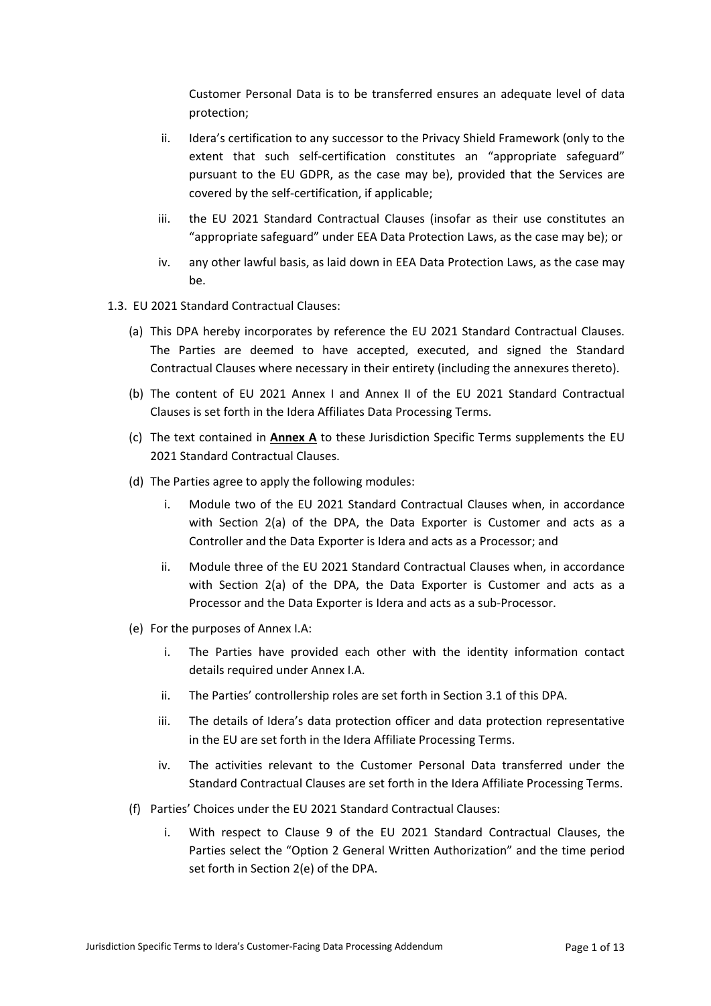Customer Personal Data is to be transferred ensures an adequate level of data protection;

- ii. Idera's certification to any successor to the Privacy Shield Framework (only to the extent that such self-certification constitutes an "appropriate safeguard" pursuant to the EU GDPR, as the case may be), provided that the Services are covered by the self-certification, if applicable;
- iii. the EU 2021 Standard Contractual Clauses (insofar as their use constitutes an "appropriate safeguard" under EEA Data Protection Laws, as the case may be); or
- iv. any other lawful basis, as laid down in EEA Data Protection Laws, as the case may be.
- 1.3. EU 2021 Standard Contractual Clauses:
	- (a) This DPA hereby incorporates by reference the EU 2021 Standard Contractual Clauses. The Parties are deemed to have accepted, executed, and signed the Standard Contractual Clauses where necessary in their entirety (including the annexures thereto).
	- (b) The content of EU 2021 Annex I and Annex II of the EU 2021 Standard Contractual Clauses is set forth in the Idera Affiliates Data Processing Terms.
	- (c) The text contained in **Annex A** to these Jurisdiction Specific Terms supplements the EU 2021 Standard Contractual Clauses.
	- (d) The Parties agree to apply the following modules:
		- i. Module two of the EU 2021 Standard Contractual Clauses when, in accordance with Section 2(a) of the DPA, the Data Exporter is Customer and acts as a Controller and the Data Exporter is Idera and acts as a Processor; and
		- ii. Module three of the EU 2021 Standard Contractual Clauses when, in accordance with Section 2(a) of the DPA, the Data Exporter is Customer and acts as a Processor and the Data Exporter is Idera and acts as a sub-Processor.
	- (e) For the purposes of Annex I.A:
		- i. The Parties have provided each other with the identity information contact details required under Annex I.A.
		- ii. The Parties' controllership roles are set forth in Section 3.1 of this DPA.
		- iii. The details of Idera's data protection officer and data protection representative in the EU are set forth in the Idera Affiliate Processing Terms.
		- iv. The activities relevant to the Customer Personal Data transferred under the Standard Contractual Clauses are set forth in the Idera Affiliate Processing Terms.
	- (f) Parties' Choices under the EU 2021 Standard Contractual Clauses:
		- i. With respect to Clause 9 of the EU 2021 Standard Contractual Clauses, the Parties select the "Option 2 General Written Authorization" and the time period set forth in Section 2(e) of the DPA.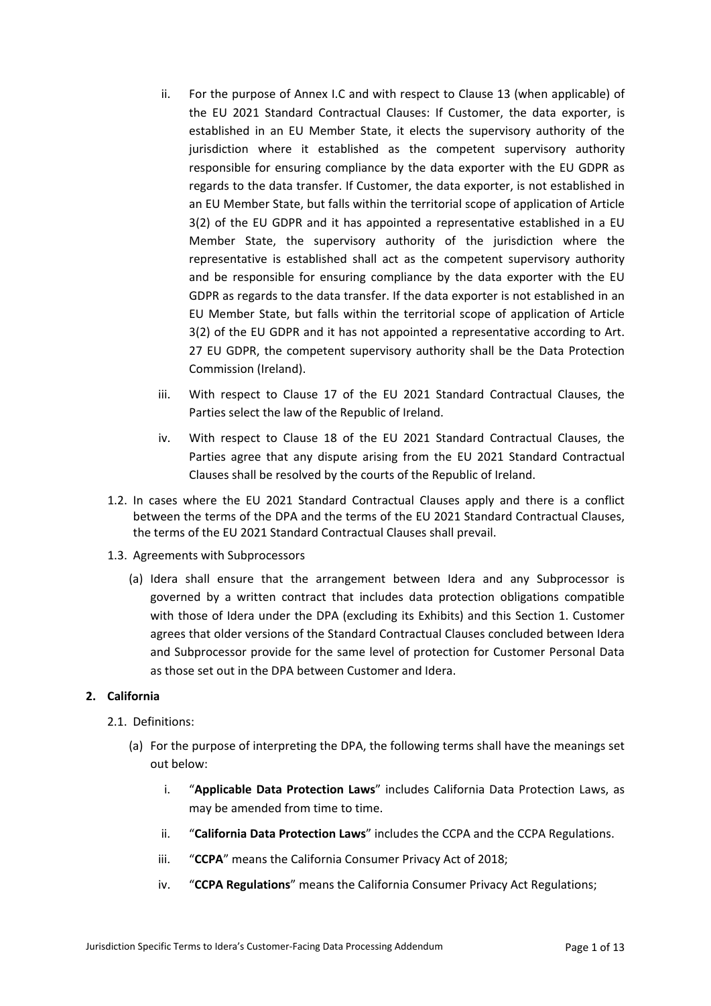- ii. For the purpose of Annex I.C and with respect to Clause 13 (when applicable) of the EU 2021 Standard Contractual Clauses: If Customer, the data exporter, is established in an EU Member State, it elects the supervisory authority of the jurisdiction where it established as the competent supervisory authority responsible for ensuring compliance by the data exporter with the EU GDPR as regards to the data transfer. If Customer, the data exporter, is not established in an EU Member State, but falls within the territorial scope of application of Article 3(2) of the EU GDPR and it has appointed a representative established in a EU Member State, the supervisory authority of the jurisdiction where the representative is established shall act as the competent supervisory authority and be responsible for ensuring compliance by the data exporter with the EU GDPR as regards to the data transfer. If the data exporter is not established in an EU Member State, but falls within the territorial scope of application of Article 3(2) of the EU GDPR and it has not appointed a representative according to Art. 27 EU GDPR, the competent supervisory authority shall be the Data Protection Commission (Ireland).
- iii. With respect to Clause 17 of the EU 2021 Standard Contractual Clauses, the Parties select the law of the Republic of Ireland.
- iv. With respect to Clause 18 of the EU 2021 Standard Contractual Clauses, the Parties agree that any dispute arising from the EU 2021 Standard Contractual Clauses shall be resolved by the courts of the Republic of Ireland.
- 1.2. In cases where the EU 2021 Standard Contractual Clauses apply and there is a conflict between the terms of the DPA and the terms of the EU 2021 Standard Contractual Clauses, the terms of the EU 2021 Standard Contractual Clauses shall prevail.
- 1.3. Agreements with Subprocessors
	- (a) Idera shall ensure that the arrangement between Idera and any Subprocessor is governed by a written contract that includes data protection obligations compatible with those of Idera under the DPA (excluding its Exhibits) and this Section 1. Customer agrees that older versions of the Standard Contractual Clauses concluded between Idera and Subprocessor provide for the same level of protection for Customer Personal Data as those set out in the DPA between Customer and Idera.

# **2. California**

- 2.1. Definitions:
	- (a) For the purpose of interpreting the DPA, the following terms shall have the meanings set out below:
		- i. "**Applicable Data Protection Laws**" includes California Data Protection Laws, as may be amended from time to time.
		- ii. "**California Data Protection Laws**" includes the CCPA and the CCPA Regulations.
		- iii. "**CCPA**" means the California Consumer Privacy Act of 2018;
		- iv. "**CCPA Regulations**" means the California Consumer Privacy Act Regulations;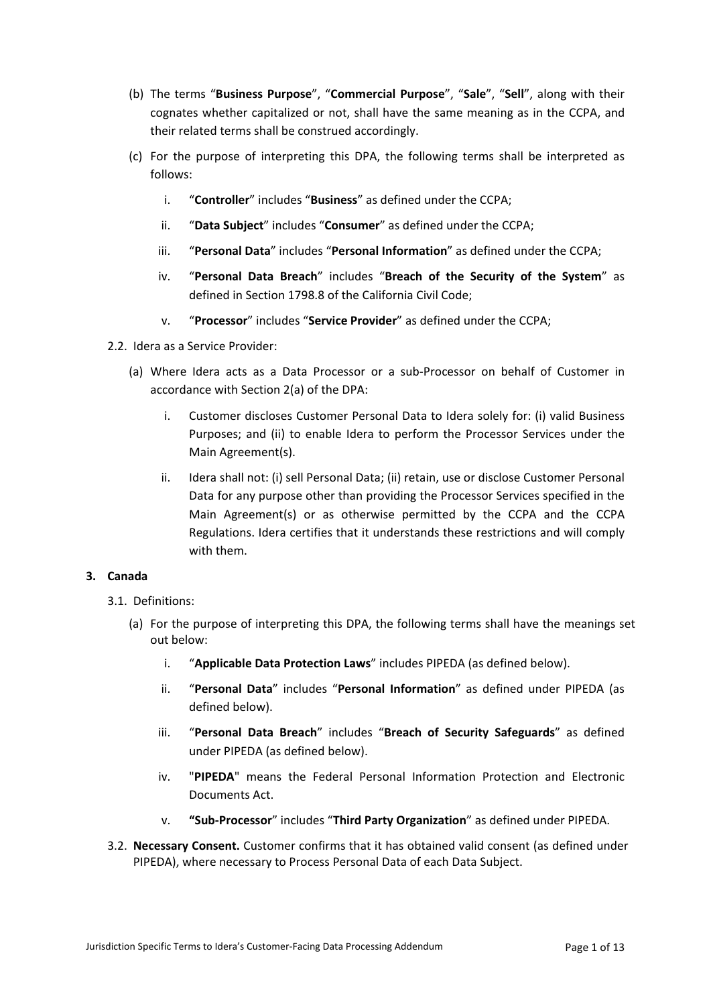- (b) The terms "**Business Purpose**", "**Commercial Purpose**", "**Sale**", "**Sell**", along with their cognates whether capitalized or not, shall have the same meaning as in the CCPA, and their related terms shall be construed accordingly.
- (c) For the purpose of interpreting this DPA, the following terms shall be interpreted as follows:
	- i. "**Controller**" includes "**Business**" as defined under the CCPA;
	- ii. "**Data Subject**" includes "**Consumer**" as defined under the CCPA;
	- iii. "**Personal Data**" includes "**Personal Information**" as defined under the CCPA;
	- iv. "**Personal Data Breach**" includes "**Breach of the Security of the System**" as defined in Section 1798.8 of the California Civil Code;
	- v. "**Processor**" includes "**Service Provider**" as defined under the CCPA;
- 2.2. Idera as a Service Provider:
	- (a) Where Idera acts as a Data Processor or a sub-Processor on behalf of Customer in accordance with Section 2(a) of the DPA:
		- i. Customer discloses Customer Personal Data to Idera solely for: (i) valid Business Purposes; and (ii) to enable Idera to perform the Processor Services under the Main Agreement(s).
		- ii. Idera shall not: (i) sell Personal Data; (ii) retain, use or disclose Customer Personal Data for any purpose other than providing the Processor Services specified in the Main Agreement(s) or as otherwise permitted by the CCPA and the CCPA Regulations. Idera certifies that it understands these restrictions and will comply with them.

# **3. Canada**

- 3.1. Definitions:
	- (a) For the purpose of interpreting this DPA, the following terms shall have the meanings set out below:
		- i. "**Applicable Data Protection Laws**" includes PIPEDA (as defined below).
		- ii. "**Personal Data**" includes "**Personal Information**" as defined under PIPEDA (as defined below).
		- iii. "**Personal Data Breach**" includes "**Breach of Security Safeguards**" as defined under PIPEDA (as defined below).
		- iv. "**PIPEDA**" means the Federal Personal Information Protection and Electronic Documents Act.
		- v. **"Sub-Processor**" includes "**Third Party Organization**" as defined under PIPEDA.
- 3.2. **Necessary Consent.** Customer confirms that it has obtained valid consent (as defined under PIPEDA), where necessary to Process Personal Data of each Data Subject.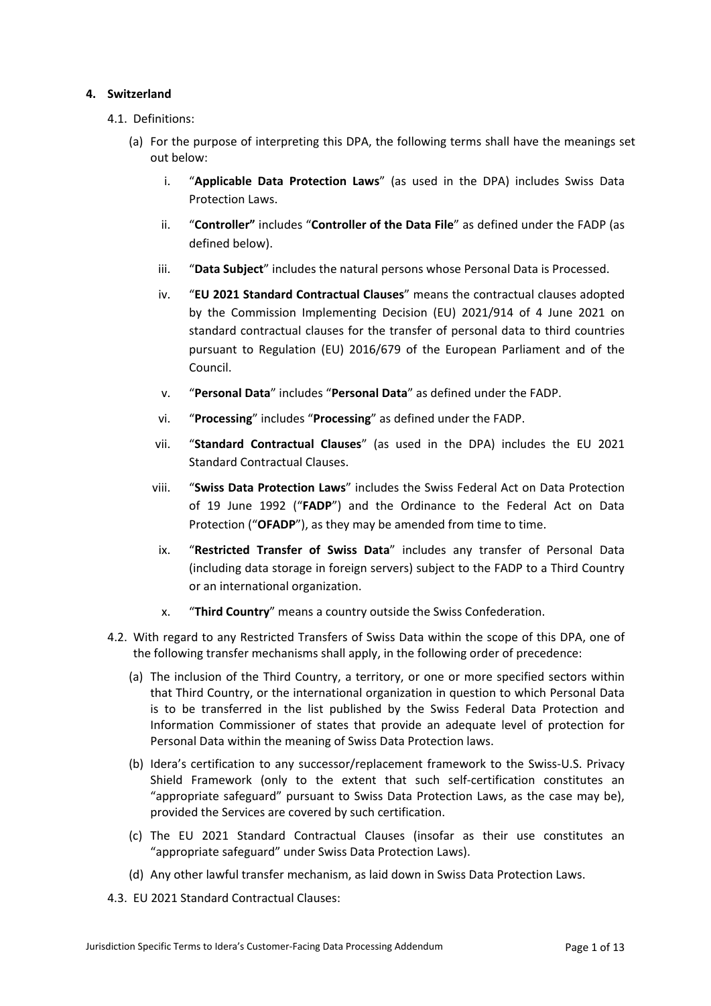# **4. Switzerland**

- 4.1. Definitions:
	- (a) For the purpose of interpreting this DPA, the following terms shall have the meanings set out below:
		- i. "**Applicable Data Protection Laws**" (as used in the DPA) includes Swiss Data Protection Laws.
		- ii. "**Controller"** includes "**Controller of the Data File**" as defined under the FADP (as defined below).
		- iii. "**Data Subject**" includes the natural persons whose Personal Data is Processed.
		- iv. "**EU 2021 Standard Contractual Clauses**" means the contractual clauses adopted by the Commission Implementing Decision (EU) 2021/914 of 4 June 2021 on standard contractual clauses for the transfer of personal data to third countries pursuant to Regulation (EU) 2016/679 of the European Parliament and of the Council.
		- v. "**Personal Data**" includes "**Personal Data**" as defined under the FADP.
		- vi. "**Processing**" includes "**Processing**" as defined under the FADP.
		- vii. "**Standard Contractual Clauses**" (as used in the DPA) includes the EU 2021 Standard Contractual Clauses.
		- viii. "**Swiss Data Protection Laws**" includes the Swiss Federal Act on Data Protection of 19 June 1992 ("**FADP**") and the Ordinance to the Federal Act on Data Protection ("OFADP"), as they may be amended from time to time.
			- ix. "**Restricted Transfer of Swiss Data**" includes any transfer of Personal Data (including data storage in foreign servers) subject to the FADP to a Third Country or an international organization.
			- x. "**Third Country**" means a country outside the Swiss Confederation.
- 4.2. With regard to any Restricted Transfers of Swiss Data within the scope of this DPA, one of the following transfer mechanisms shall apply, in the following order of precedence:
	- (a) The inclusion of the Third Country, a territory, or one or more specified sectors within that Third Country, or the international organization in question to which Personal Data is to be transferred in the list published by the Swiss Federal Data Protection and Information Commissioner of states that provide an adequate level of protection for Personal Data within the meaning of Swiss Data Protection laws.
	- (b) Idera's certification to any successor/replacement framework to the Swiss-U.S. Privacy Shield Framework (only to the extent that such self-certification constitutes an "appropriate safeguard" pursuant to Swiss Data Protection Laws, as the case may be), provided the Services are covered by such certification.
	- (c) The EU 2021 Standard Contractual Clauses (insofar as their use constitutes an "appropriate safeguard" under Swiss Data Protection Laws).
	- (d) Any other lawful transfer mechanism, as laid down in Swiss Data Protection Laws.
- 4.3. EU 2021 Standard Contractual Clauses: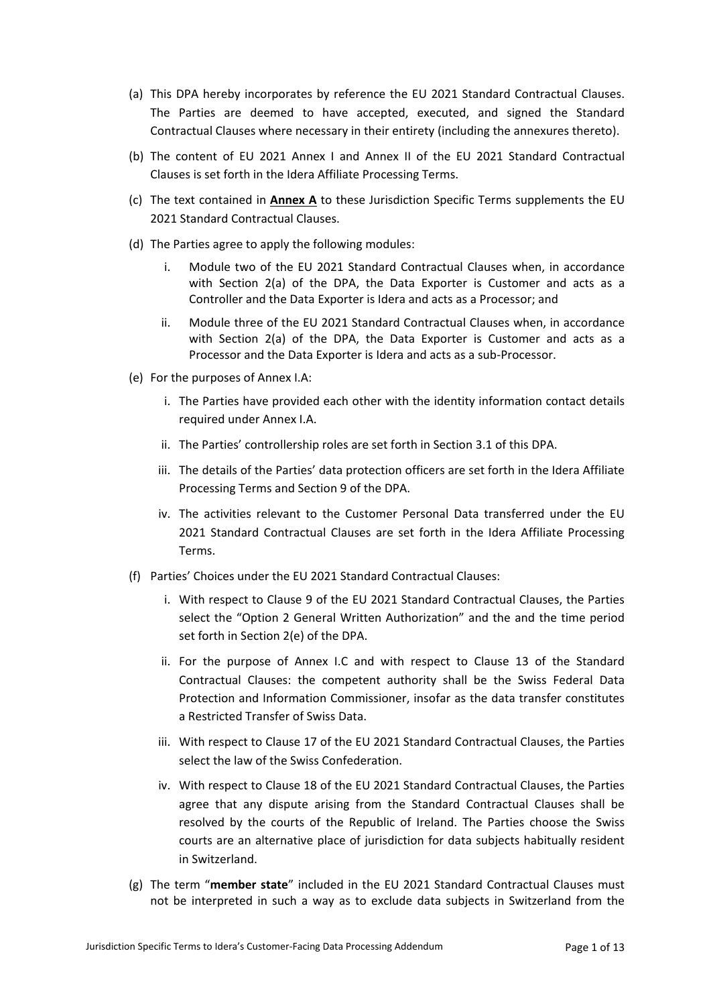- (a) This DPA hereby incorporates by reference the EU 2021 Standard Contractual Clauses. The Parties are deemed to have accepted, executed, and signed the Standard Contractual Clauses where necessary in their entirety (including the annexures thereto).
- (b) The content of EU 2021 Annex I and Annex II of the EU 2021 Standard Contractual Clauses is set forth in the Idera Affiliate Processing Terms.
- (c) The text contained in **Annex A** to these Jurisdiction Specific Terms supplements the EU 2021 Standard Contractual Clauses.
- (d) The Parties agree to apply the following modules:
	- i. Module two of the EU 2021 Standard Contractual Clauses when, in accordance with Section 2(a) of the DPA, the Data Exporter is Customer and acts as a Controller and the Data Exporter is Idera and acts as a Processor; and
	- ii. Module three of the EU 2021 Standard Contractual Clauses when, in accordance with Section 2(a) of the DPA, the Data Exporter is Customer and acts as a Processor and the Data Exporter is Idera and acts as a sub-Processor.
- (e) For the purposes of Annex I.A:
	- i. The Parties have provided each other with the identity information contact details required under Annex I.A.
	- ii. The Parties' controllership roles are set forth in Section 3.1 of this DPA.
	- iii. The details of the Parties' data protection officers are set forth in the Idera Affiliate Processing Terms and Section 9 of the DPA.
	- iv. The activities relevant to the Customer Personal Data transferred under the EU 2021 Standard Contractual Clauses are set forth in the Idera Affiliate Processing Terms.
- (f) Parties' Choices under the EU 2021 Standard Contractual Clauses:
	- i. With respect to Clause 9 of the EU 2021 Standard Contractual Clauses, the Parties select the "Option 2 General Written Authorization" and the and the time period set forth in Section 2(e) of the DPA.
	- ii. For the purpose of Annex I.C and with respect to Clause 13 of the Standard Contractual Clauses: the competent authority shall be the Swiss Federal Data Protection and Information Commissioner, insofar as the data transfer constitutes a Restricted Transfer of Swiss Data.
	- iii. With respect to Clause 17 of the EU 2021 Standard Contractual Clauses, the Parties select the law of the Swiss Confederation.
	- iv. With respect to Clause 18 of the EU 2021 Standard Contractual Clauses, the Parties agree that any dispute arising from the Standard Contractual Clauses shall be resolved by the courts of the Republic of Ireland. The Parties choose the Swiss courts are an alternative place of jurisdiction for data subjects habitually resident in Switzerland.
- (g) The term "**member state**" included in the EU 2021 Standard Contractual Clauses must not be interpreted in such a way as to exclude data subjects in Switzerland from the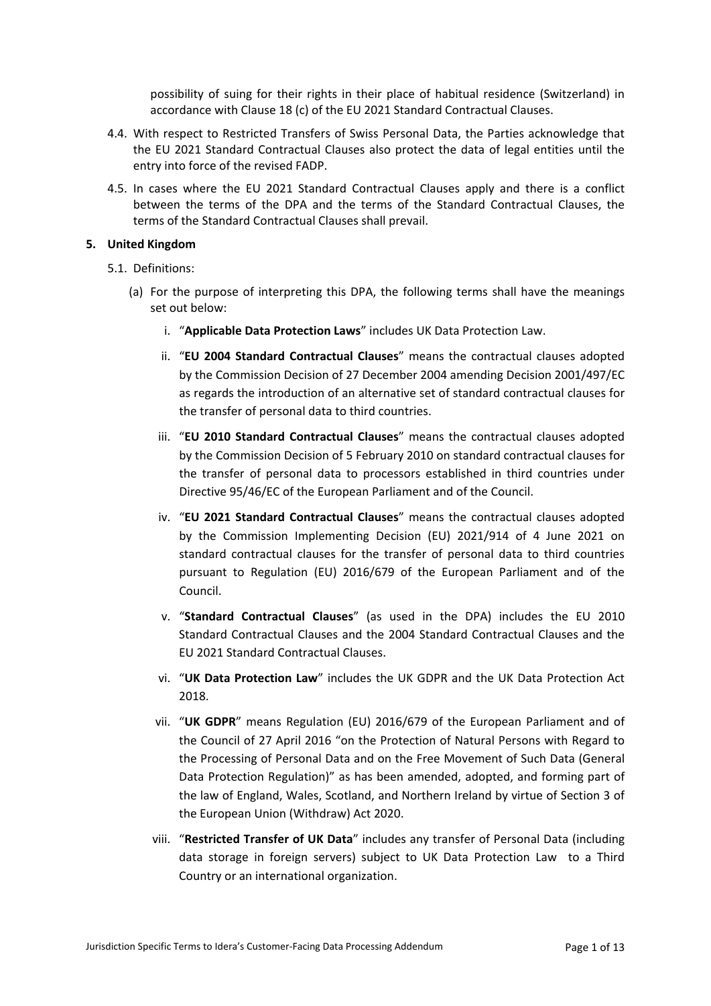possibility of suing for their rights in their place of habitual residence (Switzerland) in accordance with Clause 18 (c) of the EU 2021 Standard Contractual Clauses.

- 4.4. With respect to Restricted Transfers of Swiss Personal Data, the Parties acknowledge that the EU 2021 Standard Contractual Clauses also protect the data of legal entities until the entry into force of the revised FADP.
- 4.5. In cases where the EU 2021 Standard Contractual Clauses apply and there is a conflict between the terms of the DPA and the terms of the Standard Contractual Clauses, the terms of the Standard Contractual Clauses shall prevail.

# **5. United Kingdom**

- 5.1. Definitions:
	- (a) For the purpose of interpreting this DPA, the following terms shall have the meanings set out below:
		- i. "**Applicable Data Protection Laws**" includes UK Data Protection Law.
		- ii. "**EU 2004 Standard Contractual Clauses**" means the contractual clauses adopted by the Commission Decision of 27 December 2004 amending Decision 2001/497/EC as regards the introduction of an alternative set of standard contractual clauses for the transfer of personal data to third countries.
		- iii. "**EU 2010 Standard Contractual Clauses**" means the contractual clauses adopted by the Commission Decision of 5 February 2010 on standard contractual clauses for the transfer of personal data to processors established in third countries under Directive 95/46/EC of the European Parliament and of the Council.
		- iv. "**EU 2021 Standard Contractual Clauses**" means the contractual clauses adopted by the Commission Implementing Decision (EU) 2021/914 of 4 June 2021 on standard contractual clauses for the transfer of personal data to third countries pursuant to Regulation (EU) 2016/679 of the European Parliament and of the Council.
		- v. "**Standard Contractual Clauses**" (as used in the DPA) includes the EU 2010 Standard Contractual Clauses and the 2004 Standard Contractual Clauses and the EU 2021 Standard Contractual Clauses.
		- vi. "**UK Data Protection Law**" includes the UK GDPR and the UK Data Protection Act 2018.
		- vii. "**UK GDPR**" means Regulation (EU) 2016/679 of the European Parliament and of the Council of 27 April 2016 "on the Protection of Natural Persons with Regard to the Processing of Personal Data and on the Free Movement of Such Data (General Data Protection Regulation)" as has been amended, adopted, and forming part of the law of England, Wales, Scotland, and Northern Ireland by virtue of Section 3 of the European Union (Withdraw) Act 2020.
		- viii. "**Restricted Transfer of UK Data**" includes any transfer of Personal Data (including data storage in foreign servers) subject to UK Data Protection Law to a Third Country or an international organization.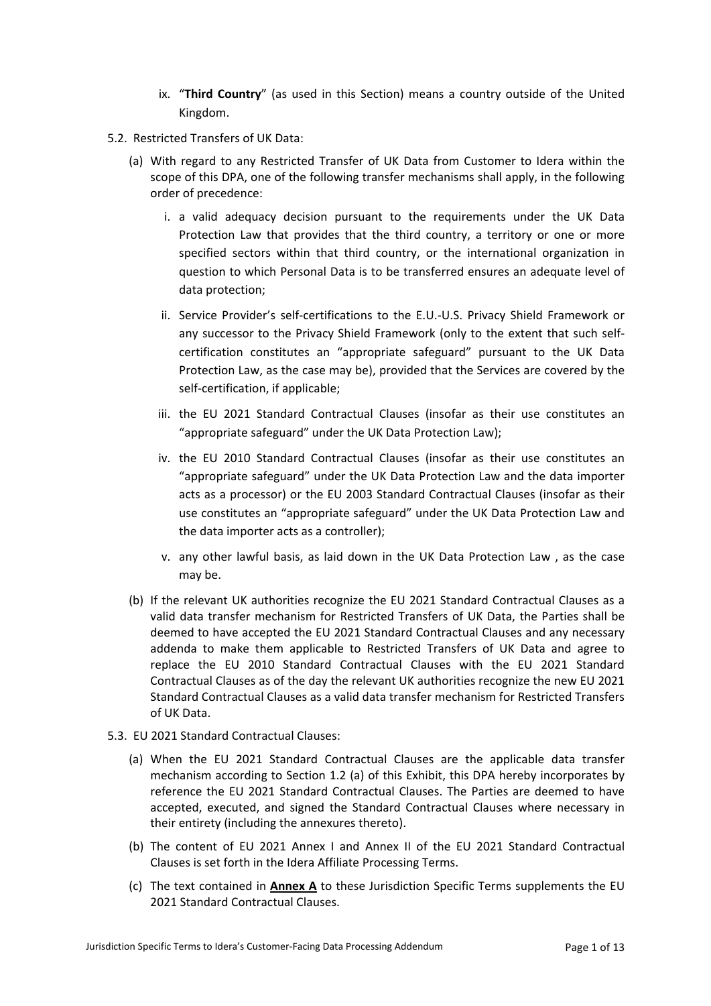- ix. "**Third Country**" (as used in this Section) means a country outside of the United Kingdom.
- 5.2. Restricted Transfers of UK Data:
	- (a) With regard to any Restricted Transfer of UK Data from Customer to Idera within the scope of this DPA, one of the following transfer mechanisms shall apply, in the following order of precedence:
		- i. a valid adequacy decision pursuant to the requirements under the UK Data Protection Law that provides that the third country, a territory or one or more specified sectors within that third country, or the international organization in question to which Personal Data is to be transferred ensures an adequate level of data protection;
		- ii. Service Provider's self-certifications to the E.U.-U.S. Privacy Shield Framework or any successor to the Privacy Shield Framework (only to the extent that such selfcertification constitutes an "appropriate safeguard" pursuant to the UK Data Protection Law, as the case may be), provided that the Services are covered by the self-certification, if applicable;
		- iii. the EU 2021 Standard Contractual Clauses (insofar as their use constitutes an "appropriate safeguard" under the UK Data Protection Law);
		- iv. the EU 2010 Standard Contractual Clauses (insofar as their use constitutes an "appropriate safeguard" under the UK Data Protection Law and the data importer acts as a processor) or the EU 2003 Standard Contractual Clauses (insofar as their use constitutes an "appropriate safeguard" under the UK Data Protection Law and the data importer acts as a controller);
		- v. any other lawful basis, as laid down in the UK Data Protection Law , as the case may be.
	- (b) If the relevant UK authorities recognize the EU 2021 Standard Contractual Clauses as a valid data transfer mechanism for Restricted Transfers of UK Data, the Parties shall be deemed to have accepted the EU 2021 Standard Contractual Clauses and any necessary addenda to make them applicable to Restricted Transfers of UK Data and agree to replace the EU 2010 Standard Contractual Clauses with the EU 2021 Standard Contractual Clauses as of the day the relevant UK authorities recognize the new EU 2021 Standard Contractual Clauses as a valid data transfer mechanism for Restricted Transfers of UK Data.
- 5.3. EU 2021 Standard Contractual Clauses:
	- (a) When the EU 2021 Standard Contractual Clauses are the applicable data transfer mechanism according to Section 1.2 (a) of this Exhibit, this DPA hereby incorporates by reference the EU 2021 Standard Contractual Clauses. The Parties are deemed to have accepted, executed, and signed the Standard Contractual Clauses where necessary in their entirety (including the annexures thereto).
	- (b) The content of EU 2021 Annex I and Annex II of the EU 2021 Standard Contractual Clauses is set forth in the Idera Affiliate Processing Terms.
	- (c) The text contained in **Annex A** to these Jurisdiction Specific Terms supplements the EU 2021 Standard Contractual Clauses.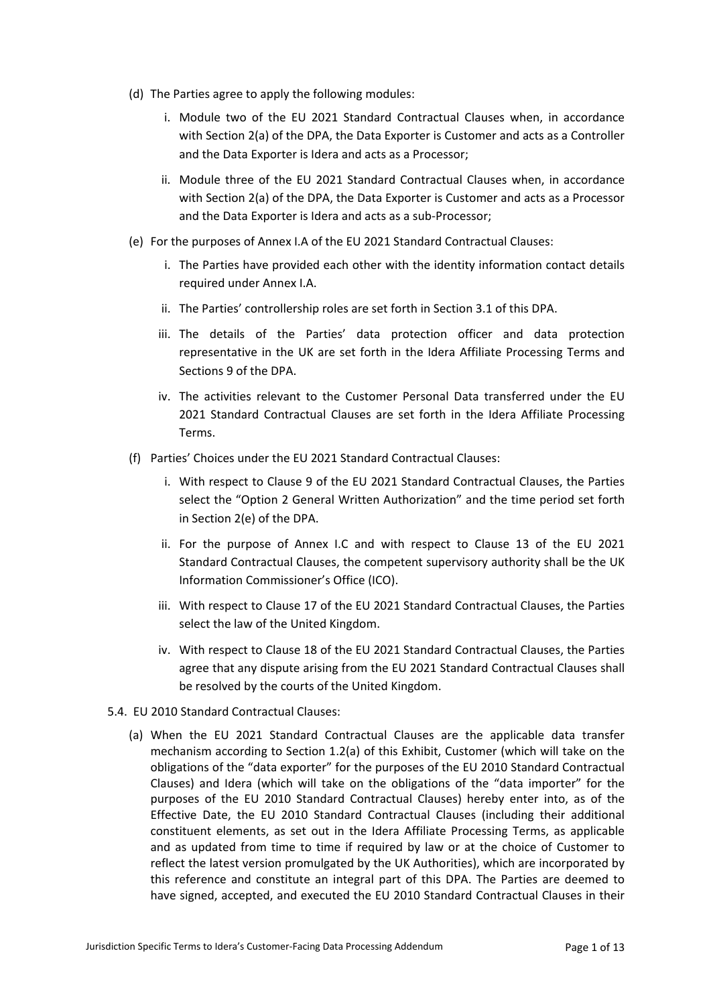- (d) The Parties agree to apply the following modules:
	- i. Module two of the EU 2021 Standard Contractual Clauses when, in accordance with Section 2(a) of the DPA, the Data Exporter is Customer and acts as a Controller and the Data Exporter is Idera and acts as a Processor;
	- ii. Module three of the EU 2021 Standard Contractual Clauses when, in accordance with Section 2(a) of the DPA, the Data Exporter is Customer and acts as a Processor and the Data Exporter is Idera and acts as a sub-Processor;
- (e) For the purposes of Annex I.A of the EU 2021 Standard Contractual Clauses:
	- i. The Parties have provided each other with the identity information contact details required under Annex I.A.
	- ii. The Parties' controllership roles are set forth in Section 3.1 of this DPA.
	- iii. The details of the Parties' data protection officer and data protection representative in the UK are set forth in the Idera Affiliate Processing Terms and Sections 9 of the DPA.
	- iv. The activities relevant to the Customer Personal Data transferred under the EU 2021 Standard Contractual Clauses are set forth in the Idera Affiliate Processing Terms.
- (f) Parties' Choices under the EU 2021 Standard Contractual Clauses:
	- i. With respect to Clause 9 of the EU 2021 Standard Contractual Clauses, the Parties select the "Option 2 General Written Authorization" and the time period set forth in Section 2(e) of the DPA.
	- ii. For the purpose of Annex I.C and with respect to Clause 13 of the EU 2021 Standard Contractual Clauses, the competent supervisory authority shall be the UK Information Commissioner's Office (ICO).
	- iii. With respect to Clause 17 of the EU 2021 Standard Contractual Clauses, the Parties select the law of the United Kingdom.
	- iv. With respect to Clause 18 of the EU 2021 Standard Contractual Clauses, the Parties agree that any dispute arising from the EU 2021 Standard Contractual Clauses shall be resolved by the courts of the United Kingdom.
- 5.4. EU 2010 Standard Contractual Clauses:
	- (a) When the EU 2021 Standard Contractual Clauses are the applicable data transfer mechanism according to Section 1.2(a) of this Exhibit, Customer (which will take on the obligations of the "data exporter" for the purposes of the EU 2010 Standard Contractual Clauses) and Idera (which will take on the obligations of the "data importer" for the purposes of the EU 2010 Standard Contractual Clauses) hereby enter into, as of the Effective Date, the EU 2010 Standard Contractual Clauses (including their additional constituent elements, as set out in the Idera Affiliate Processing Terms, as applicable and as updated from time to time if required by law or at the choice of Customer to reflect the latest version promulgated by the UK Authorities), which are incorporated by this reference and constitute an integral part of this DPA. The Parties are deemed to have signed, accepted, and executed the EU 2010 Standard Contractual Clauses in their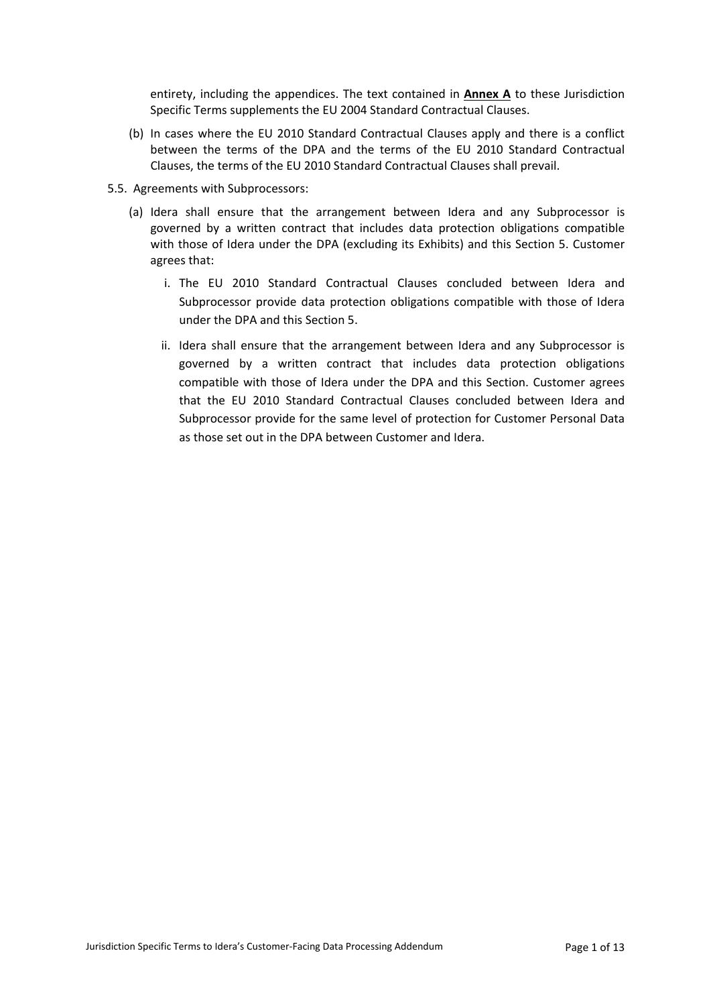entirety, including the appendices. The text contained in **Annex A** to these Jurisdiction Specific Terms supplements the EU 2004 Standard Contractual Clauses.

- (b) In cases where the EU 2010 Standard Contractual Clauses apply and there is a conflict between the terms of the DPA and the terms of the EU 2010 Standard Contractual Clauses, the terms of the EU 2010 Standard Contractual Clauses shall prevail.
- 5.5. Agreements with Subprocessors:
	- (a) Idera shall ensure that the arrangement between Idera and any Subprocessor is governed by a written contract that includes data protection obligations compatible with those of Idera under the DPA (excluding its Exhibits) and this Section 5. Customer agrees that:
		- i. The EU 2010 Standard Contractual Clauses concluded between Idera and Subprocessor provide data protection obligations compatible with those of Idera under the DPA and this Section 5.
		- ii. Idera shall ensure that the arrangement between Idera and any Subprocessor is governed by a written contract that includes data protection obligations compatible with those of Idera under the DPA and this Section. Customer agrees that the EU 2010 Standard Contractual Clauses concluded between Idera and Subprocessor provide for the same level of protection for Customer Personal Data as those set out in the DPA between Customer and Idera.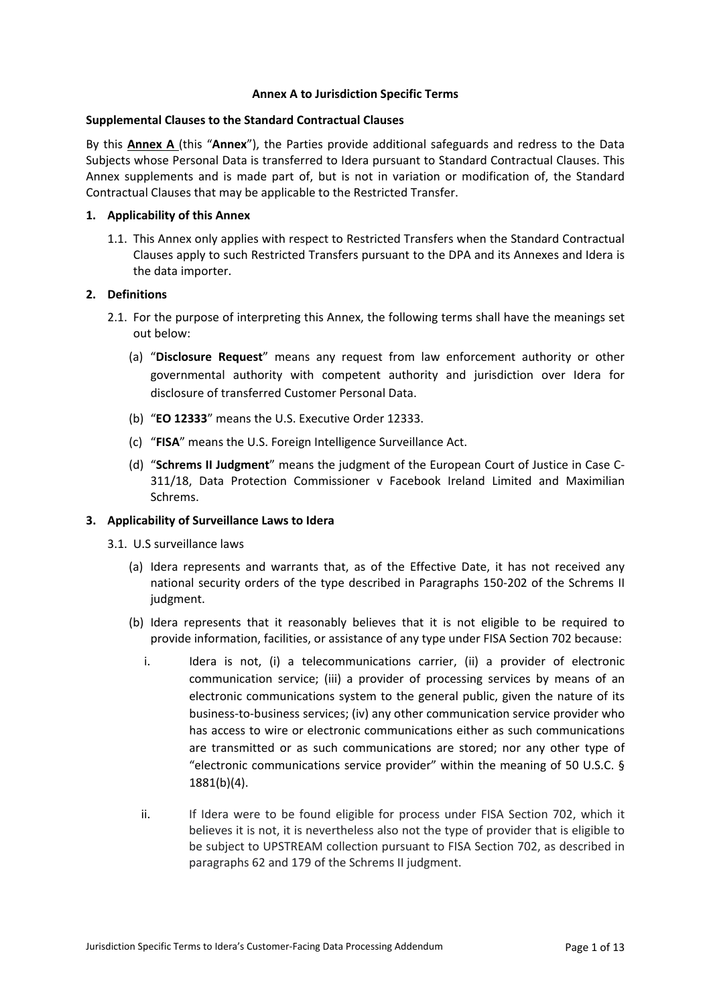### **Annex A to Jurisdiction Specific Terms**

#### **Supplemental Clauses to the Standard Contractual Clauses**

By this **Annex A** (this "**Annex**"), the Parties provide additional safeguards and redress to the Data Subjects whose Personal Data is transferred to Idera pursuant to Standard Contractual Clauses. This Annex supplements and is made part of, but is not in variation or modification of, the Standard Contractual Clauses that may be applicable to the Restricted Transfer.

# **1. Applicability of this Annex**

1.1. This Annex only applies with respect to Restricted Transfers when the Standard Contractual Clauses apply to such Restricted Transfers pursuant to the DPA and its Annexes and Idera is the data importer.

### **2. Definitions**

- 2.1. For the purpose of interpreting this Annex, the following terms shall have the meanings set out below:
	- (a) "**Disclosure Request**" means any request from law enforcement authority or other governmental authority with competent authority and jurisdiction over Idera for disclosure of transferred Customer Personal Data.
	- (b) "**EO 12333**" means the U.S. Executive Order 12333.
	- (c) "**FISA**" means the U.S. Foreign Intelligence Surveillance Act.
	- (d) "**Schrems II Judgment**" means the judgment of the European Court of Justice in Case C-311/18, Data Protection Commissioner v Facebook Ireland Limited and Maximilian Schrems.

# **3. Applicability of Surveillance Laws to Idera**

- 3.1. U.S surveillance laws
	- (a) Idera represents and warrants that, as of the Effective Date, it has not received any national security orders of the type described in Paragraphs 150-202 of the Schrems II judgment.
	- (b) Idera represents that it reasonably believes that it is not eligible to be required to provide information, facilities, or assistance of any type under FISA Section 702 because:
		- i. Idera is not, (i) a telecommunications carrier, (ii) a provider of electronic communication service; (iii) a provider of processing services by means of an electronic communications system to the general public, given the nature of its business-to-business services; (iv) any other communication service provider who has access to wire or electronic communications either as such communications are transmitted or as such communications are stored; nor any other type of "electronic communications service provider" within the meaning of 50 U.S.C. § 1881(b)(4).
		- ii. If Idera were to be found eligible for process under FISA Section 702, which it believes it is not, it is nevertheless also not the type of provider that is eligible to be subject to UPSTREAM collection pursuant to FISA Section 702, as described in paragraphs 62 and 179 of the Schrems II judgment.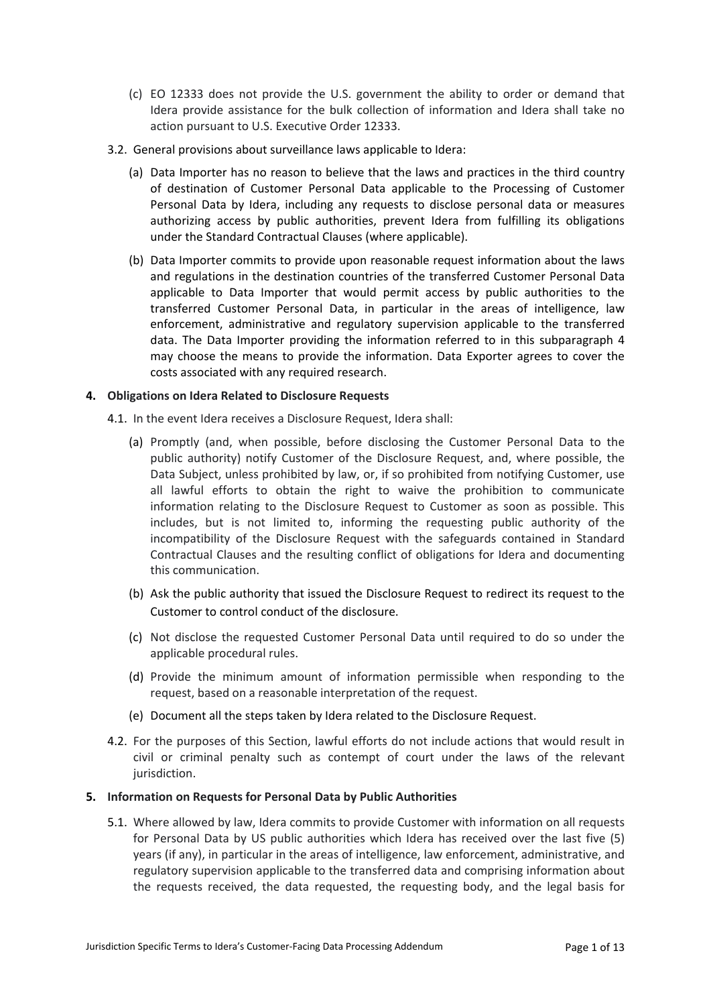- (c) EO 12333 does not provide the U.S. government the ability to order or demand that Idera provide assistance for the bulk collection of information and Idera shall take no action pursuant to U.S. Executive Order 12333.
- 3.2. General provisions about surveillance laws applicable to Idera:
	- (a) Data Importer has no reason to believe that the laws and practices in the third country of destination of Customer Personal Data applicable to the Processing of Customer Personal Data by Idera, including any requests to disclose personal data or measures authorizing access by public authorities, prevent Idera from fulfilling its obligations under the Standard Contractual Clauses (where applicable).
	- (b) Data Importer commits to provide upon reasonable request information about the laws and regulations in the destination countries of the transferred Customer Personal Data applicable to Data Importer that would permit access by public authorities to the transferred Customer Personal Data, in particular in the areas of intelligence, law enforcement, administrative and regulatory supervision applicable to the transferred data. The Data Importer providing the information referred to in this subparagraph 4 may choose the means to provide the information. Data Exporter agrees to cover the costs associated with any required research.

### **4. Obligations on Idera Related to Disclosure Requests**

4.1. In the event Idera receives a Disclosure Request, Idera shall:

- (a) Promptly (and, when possible, before disclosing the Customer Personal Data to the public authority) notify Customer of the Disclosure Request, and, where possible, the Data Subject, unless prohibited by law, or, if so prohibited from notifying Customer, use all lawful efforts to obtain the right to waive the prohibition to communicate information relating to the Disclosure Request to Customer as soon as possible. This includes, but is not limited to, informing the requesting public authority of the incompatibility of the Disclosure Request with the safeguards contained in Standard Contractual Clauses and the resulting conflict of obligations for Idera and documenting this communication.
- (b) Ask the public authority that issued the Disclosure Request to redirect its request to the Customer to control conduct of the disclosure.
- (c) Not disclose the requested Customer Personal Data until required to do so under the applicable procedural rules.
- (d) Provide the minimum amount of information permissible when responding to the request, based on a reasonable interpretation of the request.
- (e) Document all the steps taken by Idera related to the Disclosure Request.
- 4.2. For the purposes of this Section, lawful efforts do not include actions that would result in civil or criminal penalty such as contempt of court under the laws of the relevant jurisdiction.

#### **5. Information on Requests for Personal Data by Public Authorities**

5.1. Where allowed by law, Idera commits to provide Customer with information on all requests for Personal Data by US public authorities which Idera has received over the last five (5) years (if any), in particular in the areas of intelligence, law enforcement, administrative, and regulatory supervision applicable to the transferred data and comprising information about the requests received, the data requested, the requesting body, and the legal basis for